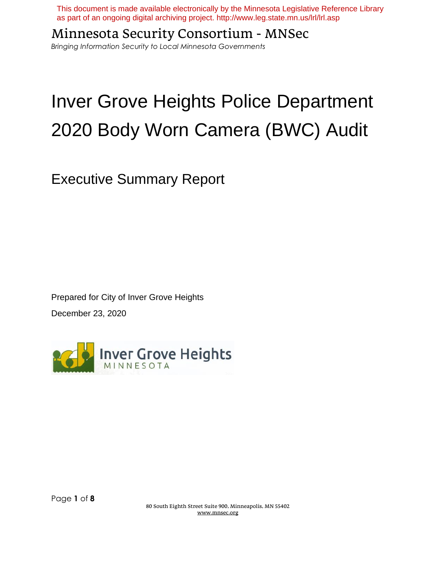This document is made available electronically by the Minnesota Legislative Reference Library as part of an ongoing digital archiving project. http://www.leg.state.mn.us/lrl/lrl.asp

Minnesota Security Consortium - MNSec

*Bringing Information Security to Local Minnesota Governments*

# Inver Grove Heights Police Department 2020 Body Worn Camera (BWC) Audit

Executive Summary Report

Prepared for City of Inver Grove Heights December 23, 2020



80 South Eighth Street Suite 900, Minneapolis, MN 55402 www.mnsec.org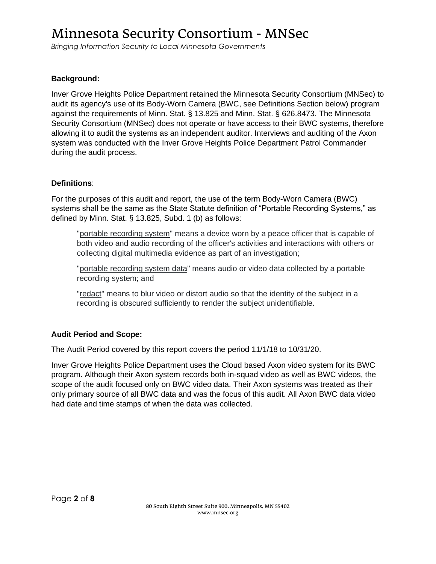*Bringing Information Security to Local Minnesota Governments*

### **Background:**

Inver Grove Heights Police Department retained the Minnesota Security Consortium (MNSec) to audit its agency's use of its Body-Worn Camera (BWC, see Definitions Section below) program against the requirements of Minn. Stat. § 13.825 and Minn. Stat. § 626.8473. The Minnesota Security Consortium (MNSec) does not operate or have access to their BWC systems, therefore allowing it to audit the systems as an independent auditor. Interviews and auditing of the Axon system was conducted with the Inver Grove Heights Police Department Patrol Commander during the audit process.

### **Definitions**:

For the purposes of this audit and report, the use of the term Body-Worn Camera (BWC) systems shall be the same as the State Statute definition of "Portable Recording Systems," as defined by Minn. Stat. § 13.825, Subd. 1 (b) as follows:

"portable recording system" means a device worn by a peace officer that is capable of both video and audio recording of the officer's activities and interactions with others or collecting digital multimedia evidence as part of an investigation;

"portable recording system data" means audio or video data collected by a portable recording system; and

"redact" means to blur video or distort audio so that the identity of the subject in a recording is obscured sufficiently to render the subject unidentifiable.

# **Audit Period and Scope:**

The Audit Period covered by this report covers the period 11/1/18 to 10/31/20.

Inver Grove Heights Police Department uses the Cloud based Axon video system for its BWC program. Although their Axon system records both in-squad video as well as BWC videos, the scope of the audit focused only on BWC video data. Their Axon systems was treated as their only primary source of all BWC data and was the focus of this audit. All Axon BWC data video had date and time stamps of when the data was collected.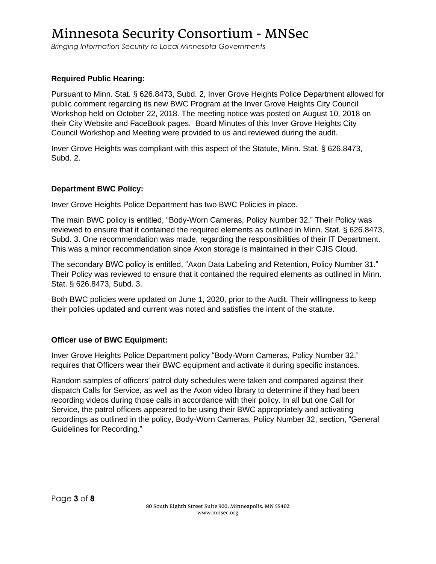*Bringing Information Security to Local Minnesota Governments*

# **Required Public Hearing:**

Pursuant to Minn. Stat. § 626.8473, Subd. 2, Inver Grove Heights Police Department allowed for public comment regarding its new BWC Program at the Inver Grove Heights City Council Workshop held on October 22, 2018. The meeting notice was posted on August 10, 2018 on their City Website and FaceBook pages. Board Minutes of this Inver Grove Heights City Council Workshop and Meeting were provided to us and reviewed during the audit.

Inver Grove Heights was compliant with this aspect of the Statute, Minn. Stat. § 626.8473, Subd. 2.

#### **Department BWC Policy:**

Inver Grove Heights Police Department has two BWC Policies in place.

The main BWC policy is entitled, "Body-Worn Cameras, Policy Number 32." Their Policy was reviewed to ensure that it contained the required elements as outlined in Minn. Stat. § 626.8473, Subd. 3. One recommendation was made, regarding the responsibilities of their IT Department. This was a minor recommendation since Axon storage is maintained in their CJIS Cloud.

The secondary BWC policy is entitled, "Axon Data Labeling and Retention, Policy Number 31." Their Policy was reviewed to ensure that it contained the required elements as outlined in Minn. Stat. § 626.8473, Subd. 3.

Both BWC policies were updated on June 1, 2020, prior to the Audit. Their willingness to keep their policies updated and current was noted and satisfies the intent of the statute.

### **Officer use of BWC Equipment:**

Inver Grove Heights Police Department policy "Body-Worn Cameras, Policy Number 32." requires that Officers wear their BWC equipment and activate it during specific instances.

Random samples of officers' patrol duty schedules were taken and compared against their dispatch Calls for Service, as well as the Axon video library to determine if they had been recording videos during those calls in accordance with their policy. In all but one Call for Service, the patrol officers appeared to be using their BWC appropriately and activating recordings as outlined in the policy, Body-Worn Cameras, Policy Number 32, section, "General Guidelines for Recording."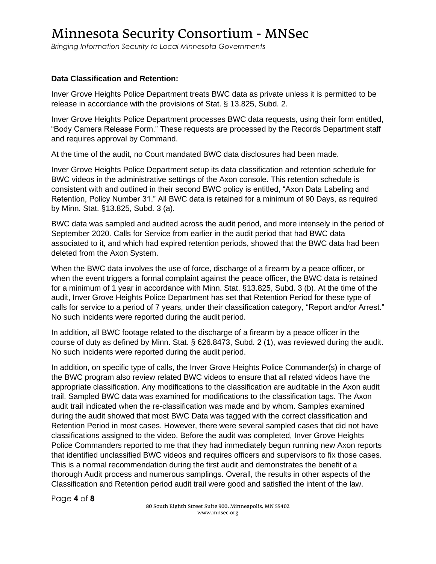*Bringing Information Security to Local Minnesota Governments*

### **Data Classification and Retention:**

Inver Grove Heights Police Department treats BWC data as private unless it is permitted to be release in accordance with the provisions of Stat. § 13.825, Subd. 2.

Inver Grove Heights Police Department processes BWC data requests, using their form entitled, "Body Camera Release Form." These requests are processed by the Records Department staff and requires approval by Command.

At the time of the audit, no Court mandated BWC data disclosures had been made.

Inver Grove Heights Police Department setup its data classification and retention schedule for BWC videos in the administrative settings of the Axon console. This retention schedule is consistent with and outlined in their second BWC policy is entitled, "Axon Data Labeling and Retention, Policy Number 31." All BWC data is retained for a minimum of 90 Days, as required by Minn. Stat. §13.825, Subd. 3 (a).

BWC data was sampled and audited across the audit period, and more intensely in the period of September 2020. Calls for Service from earlier in the audit period that had BWC data associated to it, and which had expired retention periods, showed that the BWC data had been deleted from the Axon System.

When the BWC data involves the use of force, discharge of a firearm by a peace officer, or when the event triggers a formal complaint against the peace officer, the BWC data is retained for a minimum of 1 year in accordance with Minn. Stat. §13.825, Subd. 3 (b). At the time of the audit, Inver Grove Heights Police Department has set that Retention Period for these type of calls for service to a period of 7 years, under their classification category, "Report and/or Arrest." No such incidents were reported during the audit period.

In addition, all BWC footage related to the discharge of a firearm by a peace officer in the course of duty as defined by Minn. Stat. § 626.8473, Subd. 2 (1), was reviewed during the audit. No such incidents were reported during the audit period.

In addition, on specific type of calls, the Inver Grove Heights Police Commander(s) in charge of the BWC program also review related BWC videos to ensure that all related videos have the appropriate classification. Any modifications to the classification are auditable in the Axon audit trail. Sampled BWC data was examined for modifications to the classification tags. The Axon audit trail indicated when the re-classification was made and by whom. Samples examined during the audit showed that most BWC Data was tagged with the correct classification and Retention Period in most cases. However, there were several sampled cases that did not have classifications assigned to the video. Before the audit was completed, Inver Grove Heights Police Commanders reported to me that they had immediately begun running new Axon reports that identified unclassified BWC videos and requires officers and supervisors to fix those cases. This is a normal recommendation during the first audit and demonstrates the benefit of a thorough Audit process and numerous samplings. Overall, the results in other aspects of the Classification and Retention period audit trail were good and satisfied the intent of the law.

Page **4** of **8**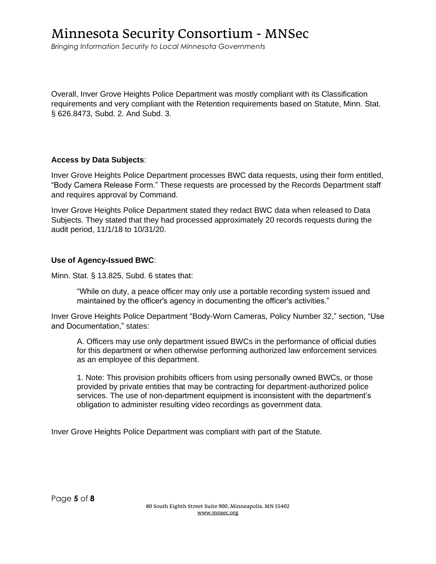*Bringing Information Security to Local Minnesota Governments*

Overall, Inver Grove Heights Police Department was mostly compliant with its Classification requirements and very compliant with the Retention requirements based on Statute, Minn. Stat. § 626.8473, Subd. 2. And Subd. 3.

#### **Access by Data Subjects**:

Inver Grove Heights Police Department processes BWC data requests, using their form entitled, "Body Camera Release Form." These requests are processed by the Records Department staff and requires approval by Command.

Inver Grove Heights Police Department stated they redact BWC data when released to Data Subjects. They stated that they had processed approximately 20 records requests during the audit period, 11/1/18 to 10/31/20.

#### **Use of Agency-Issued BWC**:

Minn. Stat. § 13.825, Subd. 6 states that:

"While on duty, a peace officer may only use a portable recording system issued and maintained by the officer's agency in documenting the officer's activities."

Inver Grove Heights Police Department "Body-Worn Cameras, Policy Number 32," section, "Use and Documentation," states:

A. Officers may use only department issued BWCs in the performance of official duties for this department or when otherwise performing authorized law enforcement services as an employee of this department.

1. Note: This provision prohibits officers from using personally owned BWCs, or those provided by private entities that may be contracting for department-authorized police services. The use of non-department equipment is inconsistent with the department's obligation to administer resulting video recordings as government data.

Inver Grove Heights Police Department was compliant with part of the Statute.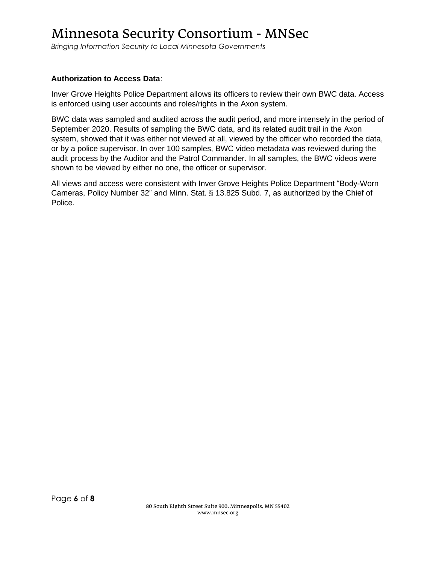*Bringing Information Security to Local Minnesota Governments*

### **Authorization to Access Data**:

Inver Grove Heights Police Department allows its officers to review their own BWC data. Access is enforced using user accounts and roles/rights in the Axon system.

BWC data was sampled and audited across the audit period, and more intensely in the period of September 2020. Results of sampling the BWC data, and its related audit trail in the Axon system, showed that it was either not viewed at all, viewed by the officer who recorded the data, or by a police supervisor. In over 100 samples, BWC video metadata was reviewed during the audit process by the Auditor and the Patrol Commander. In all samples, the BWC videos were shown to be viewed by either no one, the officer or supervisor.

All views and access were consistent with Inver Grove Heights Police Department "Body-Worn Cameras, Policy Number 32" and Minn. Stat. § 13.825 Subd. 7, as authorized by the Chief of Police.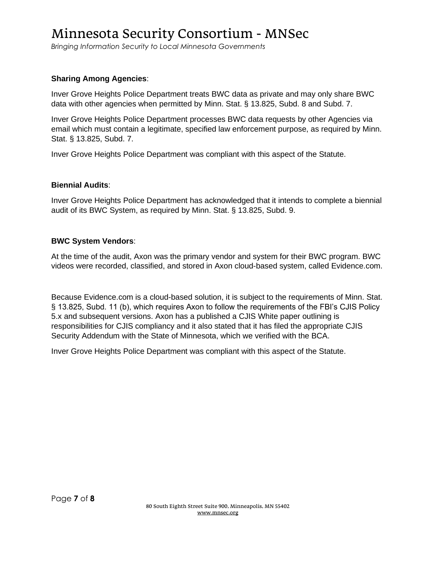*Bringing Information Security to Local Minnesota Governments*

### **Sharing Among Agencies**:

Inver Grove Heights Police Department treats BWC data as private and may only share BWC data with other agencies when permitted by Minn. Stat. § 13.825, Subd. 8 and Subd. 7.

Inver Grove Heights Police Department processes BWC data requests by other Agencies via email which must contain a legitimate, specified law enforcement purpose, as required by Minn. Stat. § 13.825, Subd. 7.

Inver Grove Heights Police Department was compliant with this aspect of the Statute.

#### **Biennial Audits**:

Inver Grove Heights Police Department has acknowledged that it intends to complete a biennial audit of its BWC System, as required by Minn. Stat. § 13.825, Subd. 9.

#### **BWC System Vendors**:

At the time of the audit, Axon was the primary vendor and system for their BWC program. BWC videos were recorded, classified, and stored in Axon cloud-based system, called Evidence.com.

Because Evidence.com is a cloud-based solution, it is subject to the requirements of Minn. Stat. § 13.825, Subd. 11 (b), which requires Axon to follow the requirements of the FBI's CJIS Policy 5.x and subsequent versions. Axon has a published a CJIS White paper outlining is responsibilities for CJIS compliancy and it also stated that it has filed the appropriate CJIS Security Addendum with the State of Minnesota, which we verified with the BCA.

Inver Grove Heights Police Department was compliant with this aspect of the Statute.